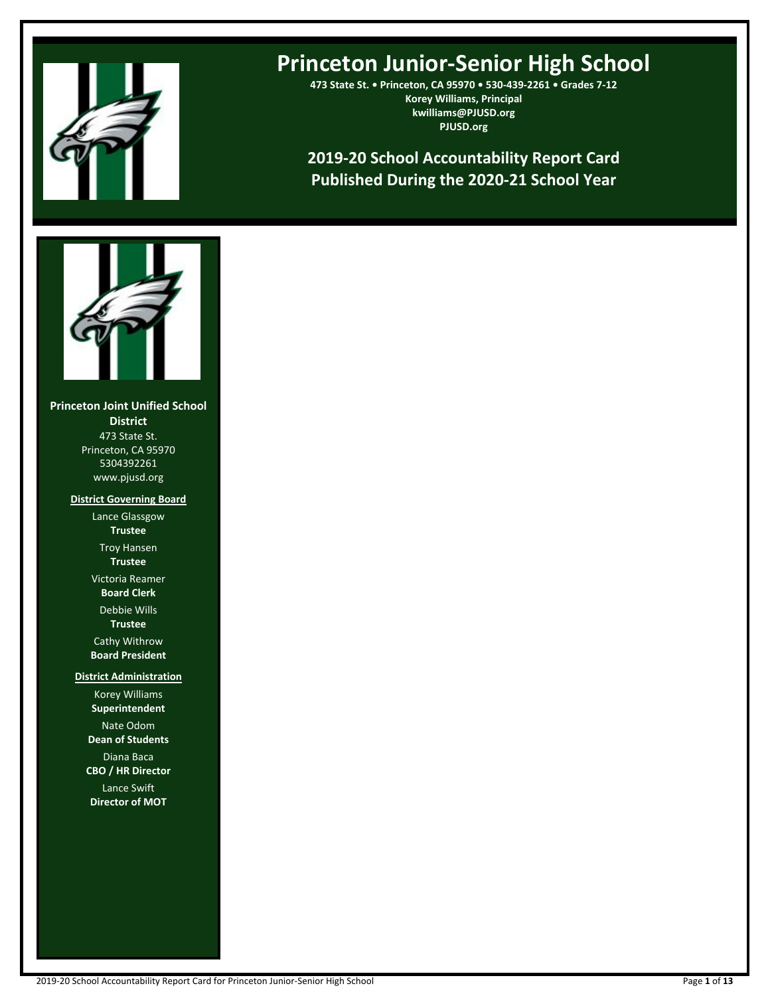

# **Princeton Junior-Senior High School**

**473 State St. • Princeton, CA 95970 • 530-439-2261 • Grades 7-12 Korey Williams, Principal kwilliams@PJUSD.org PJUSD.org**

**2019-20 School Accountability Report Card Published During the 2020-21 School Year**



**Princeton Joint Unified School District** 473 State St. Princeton, CA 95970 5304392261 www.pjusd.org

> **District Governing Board** Lance Glassgow

> > **Trustee** Troy Hansen **Trustee**

Victoria Reamer **Board Clerk**

Debbie Wills **Trustee**

Cathy Withrow **Board President**

**District Administration**

Korey Williams **Superintendent** Nate Odom **Dean of Students** Diana Baca

**CBO / HR Director**

Lance Swift **Director of MOT**

2019-20 School Accountability Report Card for Princeton Junior-Senior High School Page **1** of **13**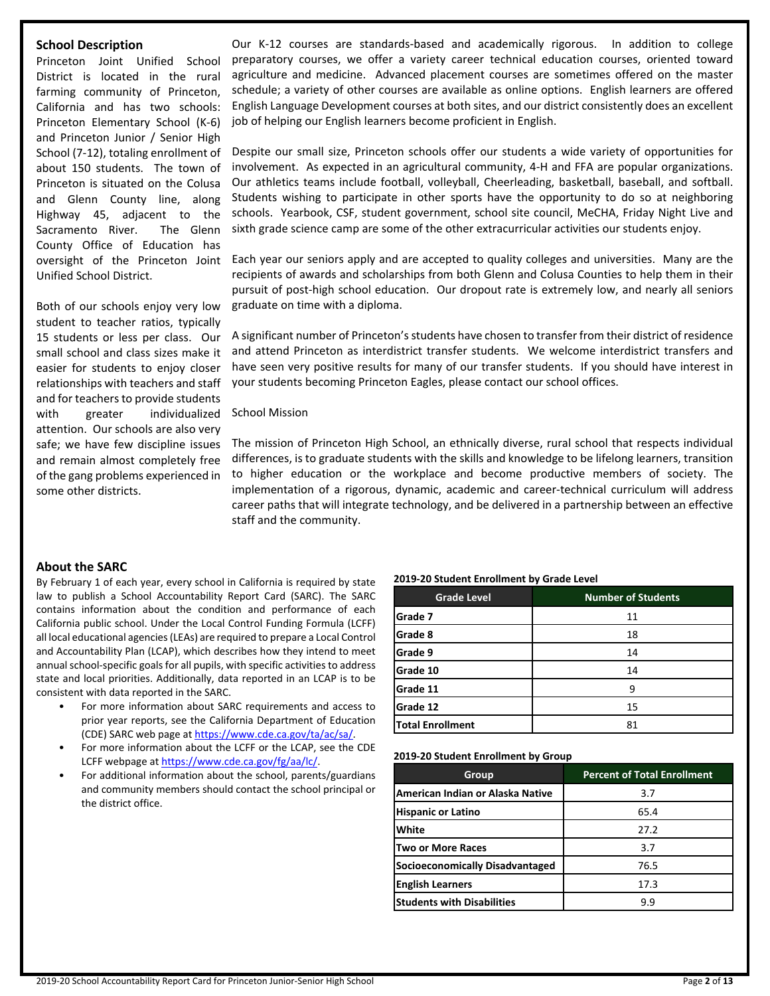# **School Description**

Princeton Joint Unified School District is located in the rural farming community of Princeton, California and has two schools: Princeton Elementary School (K-6) and Princeton Junior / Senior High School (7-12), totaling enrollment of about 150 students. The town of Princeton is situated on the Colusa and Glenn County line, along Highway 45, adjacent to the Sacramento River. The Glenn County Office of Education has oversight of the Princeton Joint Unified School District.

Both of our schools enjoy very low student to teacher ratios, typically 15 students or less per class. Our small school and class sizes make it easier for students to enjoy closer relationships with teachers and staff and for teachers to provide students with greater individualized attention. Our schools are also very safe; we have few discipline issues and remain almost completely free of the gang problems experienced in some other districts.

Our K-12 courses are standards-based and academically rigorous. In addition to college preparatory courses, we offer a variety career technical education courses, oriented toward agriculture and medicine. Advanced placement courses are sometimes offered on the master schedule; a variety of other courses are available as online options. English learners are offered English Language Development courses at both sites, and our district consistently does an excellent job of helping our English learners become proficient in English.

Despite our small size, Princeton schools offer our students a wide variety of opportunities for involvement. As expected in an agricultural community, 4-H and FFA are popular organizations. Our athletics teams include football, volleyball, Cheerleading, basketball, baseball, and softball. Students wishing to participate in other sports have the opportunity to do so at neighboring schools. Yearbook, CSF, student government, school site council, MeCHA, Friday Night Live and sixth grade science camp are some of the other extracurricular activities our students enjoy.

Each year our seniors apply and are accepted to quality colleges and universities. Many are the recipients of awards and scholarships from both Glenn and Colusa Counties to help them in their pursuit of post-high school education. Our dropout rate is extremely low, and nearly all seniors graduate on time with a diploma.

A significant number of Princeton'sstudents have chosen to transfer from their district of residence and attend Princeton as interdistrict transfer students. We welcome interdistrict transfers and have seen very positive results for many of our transfer students. If you should have interest in your students becoming Princeton Eagles, please contact our school offices.

# School Mission

The mission of Princeton High School, an ethnically diverse, rural school that respects individual differences, is to graduate students with the skills and knowledge to be lifelong learners, transition to higher education or the workplace and become productive members of society. The implementation of a rigorous, dynamic, academic and career-technical curriculum will address career paths that will integrate technology, and be delivered in a partnership between an effective staff and the community.

# **About the SARC**

By February 1 of each year, every school in California is required by state law to publish a School Accountability Report Card (SARC). The SARC contains information about the condition and performance of each California public school. Under the Local Control Funding Formula (LCFF) all local educational agencies(LEAs) are required to prepare a Local Control and Accountability Plan (LCAP), which describes how they intend to meet annual school-specific goals for all pupils, with specific activities to address state and local priorities. Additionally, data reported in an LCAP is to be consistent with data reported in the SARC.

- For more information about SARC requirements and access to prior year reports, see the California Department of Education (CDE) SARC web page at [https://www.cde.ca.gov/ta/ac/sa/.](https://www.cde.ca.gov/ta/ac/sa/)
- For more information about the LCFF or the LCAP, see the CDE LCFF webpage at [https://www.cde.ca.gov/fg/aa/lc/.](https://www.cde.ca.gov/fg/aa/lc/)
- For additional information about the school, parents/guardians and community members should contact the school principal or the district office.

#### **2019-20 Student Enrollment by Grade Level**

| <b>Grade Level</b>      | <b>Number of Students</b> |
|-------------------------|---------------------------|
| Grade 7                 | 11                        |
| Grade 8                 | 18                        |
| Grade 9                 | 14                        |
| Grade 10                | 14                        |
| Grade 11                | g                         |
| Grade 12                | 15                        |
| <b>Total Enrollment</b> | 81                        |

#### **2019-20 Student Enrollment by Group**

| Group                             | <b>Percent of Total Enrollment</b> |
|-----------------------------------|------------------------------------|
| American Indian or Alaska Native  | 3.7                                |
| <b>Hispanic or Latino</b>         | 65.4                               |
| White                             | 27.2                               |
| Two or More Races                 | 3.7                                |
| Socioeconomically Disadvantaged   | 76.5                               |
| <b>English Learners</b>           | 17.3                               |
| <b>Students with Disabilities</b> | 9.9                                |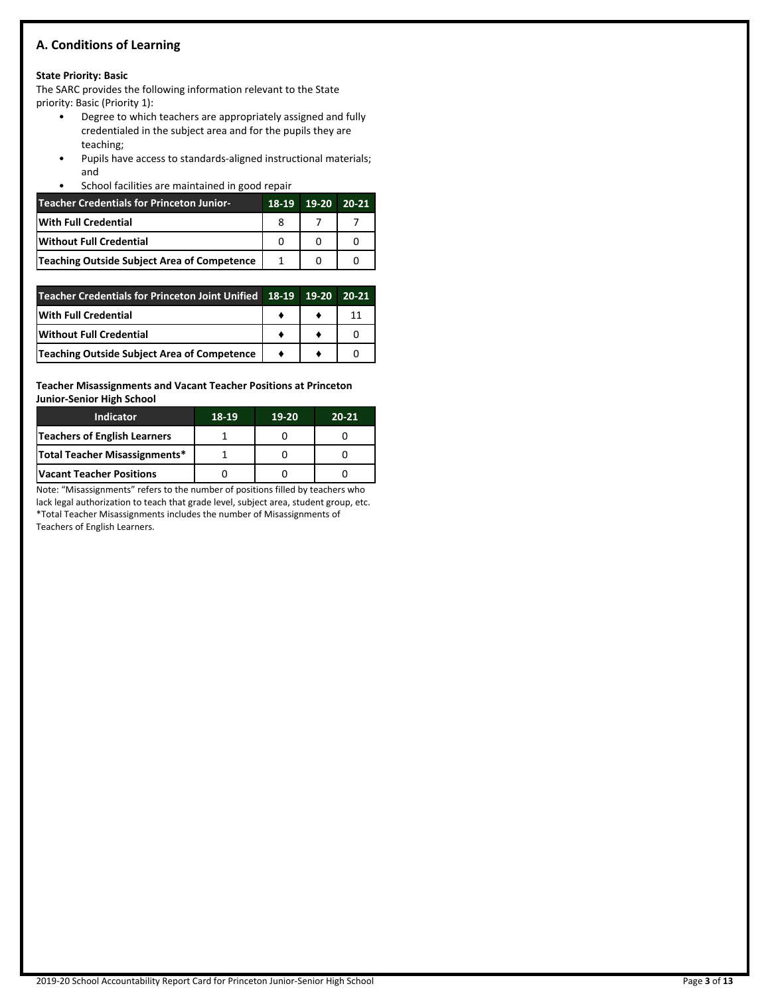# **A. Conditions of Learning**

# **State Priority: Basic**

The SARC provides the following information relevant to the State priority: Basic (Priority 1):

- Degree to which teachers are appropriately assigned and fully credentialed in the subject area and for the pupils they are teaching;
- Pupils have access to standards-aligned instructional materials; and
- School facilities are maintained in good repair

| <b>Teacher Credentials for Princeton Junior-</b> | 18-19 | $19-20$ 20-21 |  |
|--------------------------------------------------|-------|---------------|--|
| With Full Credential                             |       |               |  |
| <b>Without Full Credential</b>                   | O     |               |  |
| Teaching Outside Subject Area of Competence      |       |               |  |

| Teacher Credentials for Princeton Joint Unified   18-19   19-20 20-21 |  |  |
|-----------------------------------------------------------------------|--|--|
| <b>IWith Full Credential</b>                                          |  |  |
| Without Full Credential                                               |  |  |
| Teaching Outside Subject Area of Competence                           |  |  |

**Teacher Misassignments and Vacant Teacher Positions at Princeton Junior-Senior High School**

| <b>Indicator</b>                 | 18-19 | 19-20 | $20 - 21$ |
|----------------------------------|-------|-------|-----------|
| Teachers of English Learners     |       |       |           |
| Total Teacher Misassignments*    |       |       |           |
| <b>IVacant Teacher Positions</b> |       |       |           |

Note: "Misassignments" refers to the number of positions filled by teachers who lack legal authorization to teach that grade level, subject area, student group, etc. \*Total Teacher Misassignments includes the number of Misassignments of Teachers of English Learners.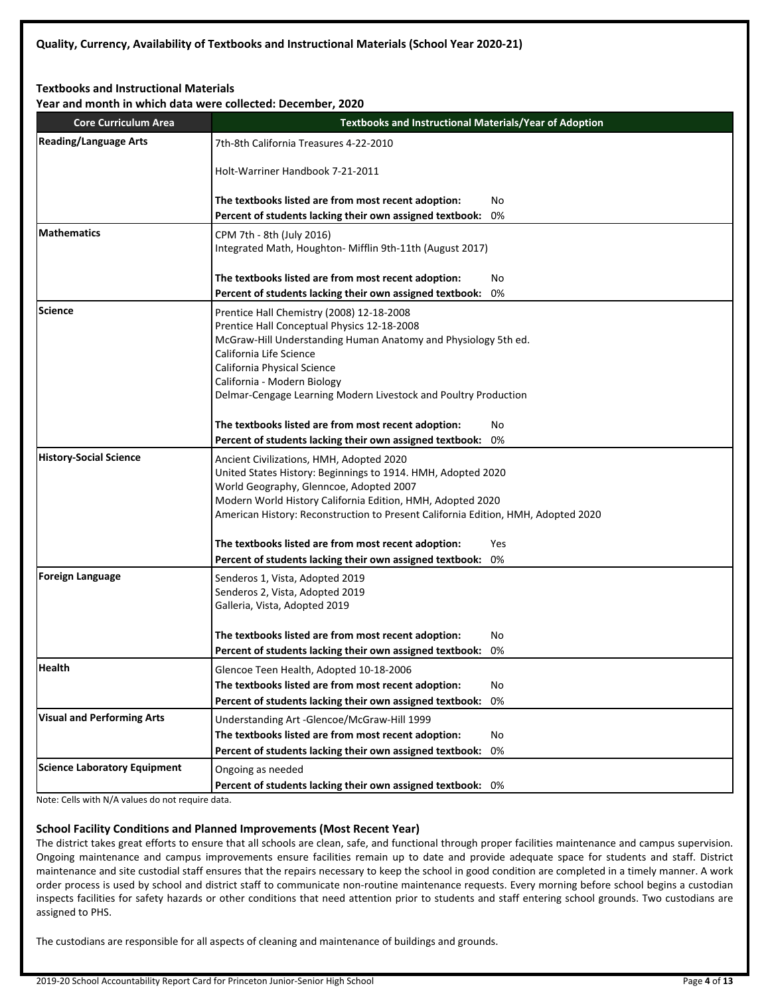# **Textbooks and Instructional Materials**

**Year and month in which data were collected: December, 2020**

| <b>Core Curriculum Area</b>       | Year and month in which data were collected: December, 2020<br><b>Textbooks and Instructional Materials/Year of Adoption</b> |  |  |  |  |  |
|-----------------------------------|------------------------------------------------------------------------------------------------------------------------------|--|--|--|--|--|
| <b>Reading/Language Arts</b>      | 7th-8th California Treasures 4-22-2010                                                                                       |  |  |  |  |  |
|                                   |                                                                                                                              |  |  |  |  |  |
|                                   | Holt-Warriner Handbook 7-21-2011                                                                                             |  |  |  |  |  |
|                                   | The textbooks listed are from most recent adoption:<br>No                                                                    |  |  |  |  |  |
|                                   | Percent of students lacking their own assigned textbook:<br>0%                                                               |  |  |  |  |  |
| <b>IMathematics</b>               | CPM 7th - 8th (July 2016)                                                                                                    |  |  |  |  |  |
|                                   | Integrated Math, Houghton- Mifflin 9th-11th (August 2017)                                                                    |  |  |  |  |  |
|                                   | The textbooks listed are from most recent adoption:<br>No                                                                    |  |  |  |  |  |
|                                   | Percent of students lacking their own assigned textbook:<br>0%                                                               |  |  |  |  |  |
| Science                           |                                                                                                                              |  |  |  |  |  |
|                                   | Prentice Hall Chemistry (2008) 12-18-2008<br>Prentice Hall Conceptual Physics 12-18-2008                                     |  |  |  |  |  |
|                                   | McGraw-Hill Understanding Human Anatomy and Physiology 5th ed.                                                               |  |  |  |  |  |
|                                   | California Life Science                                                                                                      |  |  |  |  |  |
|                                   | California Physical Science                                                                                                  |  |  |  |  |  |
|                                   | California - Modern Biology                                                                                                  |  |  |  |  |  |
|                                   | Delmar-Cengage Learning Modern Livestock and Poultry Production                                                              |  |  |  |  |  |
|                                   | The textbooks listed are from most recent adoption:<br>No                                                                    |  |  |  |  |  |
|                                   | Percent of students lacking their own assigned textbook:<br>0%                                                               |  |  |  |  |  |
| History-Social Science            | Ancient Civilizations, HMH, Adopted 2020                                                                                     |  |  |  |  |  |
|                                   | United States History: Beginnings to 1914. HMH, Adopted 2020                                                                 |  |  |  |  |  |
|                                   | World Geography, Glenncoe, Adopted 2007                                                                                      |  |  |  |  |  |
|                                   | Modern World History California Edition, HMH, Adopted 2020                                                                   |  |  |  |  |  |
|                                   | American History: Reconstruction to Present California Edition, HMH, Adopted 2020                                            |  |  |  |  |  |
|                                   | The textbooks listed are from most recent adoption:<br>Yes                                                                   |  |  |  |  |  |
|                                   | Percent of students lacking their own assigned textbook:<br>0%                                                               |  |  |  |  |  |
| <b>Foreign Language</b>           | Senderos 1, Vista, Adopted 2019                                                                                              |  |  |  |  |  |
|                                   | Senderos 2, Vista, Adopted 2019                                                                                              |  |  |  |  |  |
|                                   | Galleria, Vista, Adopted 2019                                                                                                |  |  |  |  |  |
|                                   | The textbooks listed are from most recent adoption:<br>No                                                                    |  |  |  |  |  |
|                                   | Percent of students lacking their own assigned textbook:<br>0%                                                               |  |  |  |  |  |
| Health                            | Glencoe Teen Health, Adopted 10-18-2006                                                                                      |  |  |  |  |  |
|                                   | The textbooks listed are from most recent adoption:<br>No                                                                    |  |  |  |  |  |
|                                   | Percent of students lacking their own assigned textbook:<br>0%                                                               |  |  |  |  |  |
| <b>Visual and Performing Arts</b> | Understanding Art -Glencoe/McGraw-Hill 1999                                                                                  |  |  |  |  |  |
|                                   | The textbooks listed are from most recent adoption:<br>No                                                                    |  |  |  |  |  |
|                                   | Percent of students lacking their own assigned textbook:<br>0%                                                               |  |  |  |  |  |
| Science Laboratory Equipment      | Ongoing as needed                                                                                                            |  |  |  |  |  |
|                                   | Percent of students lacking their own assigned textbook: 0%                                                                  |  |  |  |  |  |

Note: Cells with N/A values do not require data.

# **School Facility Conditions and Planned Improvements (Most Recent Year)**

The district takes great efforts to ensure that all schools are clean, safe, and functional through proper facilities maintenance and campus supervision. Ongoing maintenance and campus improvements ensure facilities remain up to date and provide adequate space for students and staff. District maintenance and site custodial staff ensures that the repairs necessary to keep the school in good condition are completed in a timely manner. A work order process is used by school and district staff to communicate non-routine maintenance requests. Every morning before school begins a custodian inspects facilities for safety hazards or other conditions that need attention prior to students and staff entering school grounds. Two custodians are assigned to PHS.

The custodians are responsible for all aspects of cleaning and maintenance of buildings and grounds.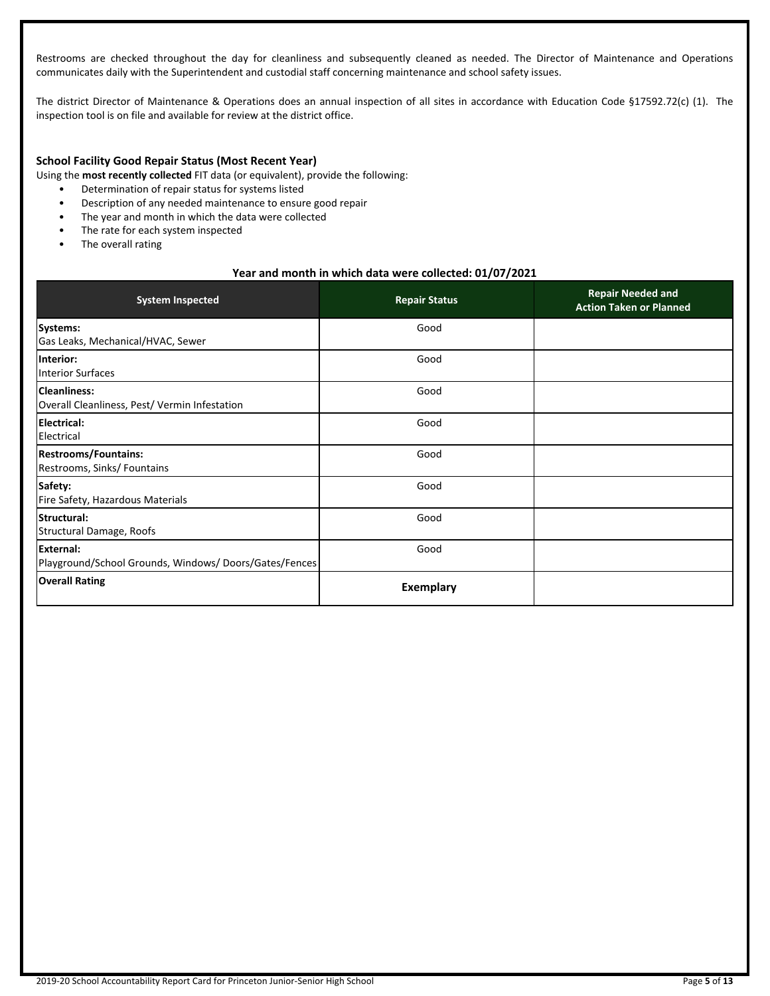Restrooms are checked throughout the day for cleanliness and subsequently cleaned as needed. The Director of Maintenance and Operations communicates daily with the Superintendent and custodial staff concerning maintenance and school safety issues.

The district Director of Maintenance & Operations does an annual inspection of all sites in accordance with Education Code §17592.72(c) (1). The inspection tool is on file and available for review at the district office.

## **School Facility Good Repair Status (Most Recent Year)**

Using the **most recently collected** FIT data (or equivalent), provide the following:

- Determination of repair status for systems listed
- Description of any needed maintenance to ensure good repair
- The year and month in which the data were collected
- The rate for each system inspected
- The overall rating

# **Year and month in which data were collected: 01/07/2021**

| <b>System Inspected</b>                                            | <b>Repair Status</b> | <b>Repair Needed and</b><br><b>Action Taken or Planned</b> |
|--------------------------------------------------------------------|----------------------|------------------------------------------------------------|
| Systems:<br>Gas Leaks, Mechanical/HVAC, Sewer                      | Good                 |                                                            |
| Interior:<br>Interior Surfaces                                     | Good                 |                                                            |
| Cleanliness:<br>Overall Cleanliness, Pest/ Vermin Infestation      | Good                 |                                                            |
| <b>Electrical:</b><br>Electrical                                   | Good                 |                                                            |
| <b>Restrooms/Fountains:</b><br>Restrooms, Sinks/ Fountains         | Good                 |                                                            |
| Safety:<br>Fire Safety, Hazardous Materials                        | Good                 |                                                            |
| Structural:<br>Structural Damage, Roofs                            | Good                 |                                                            |
| External:<br>Playground/School Grounds, Windows/Doors/Gates/Fences | Good                 |                                                            |
| <b>Overall Rating</b>                                              | <b>Exemplary</b>     |                                                            |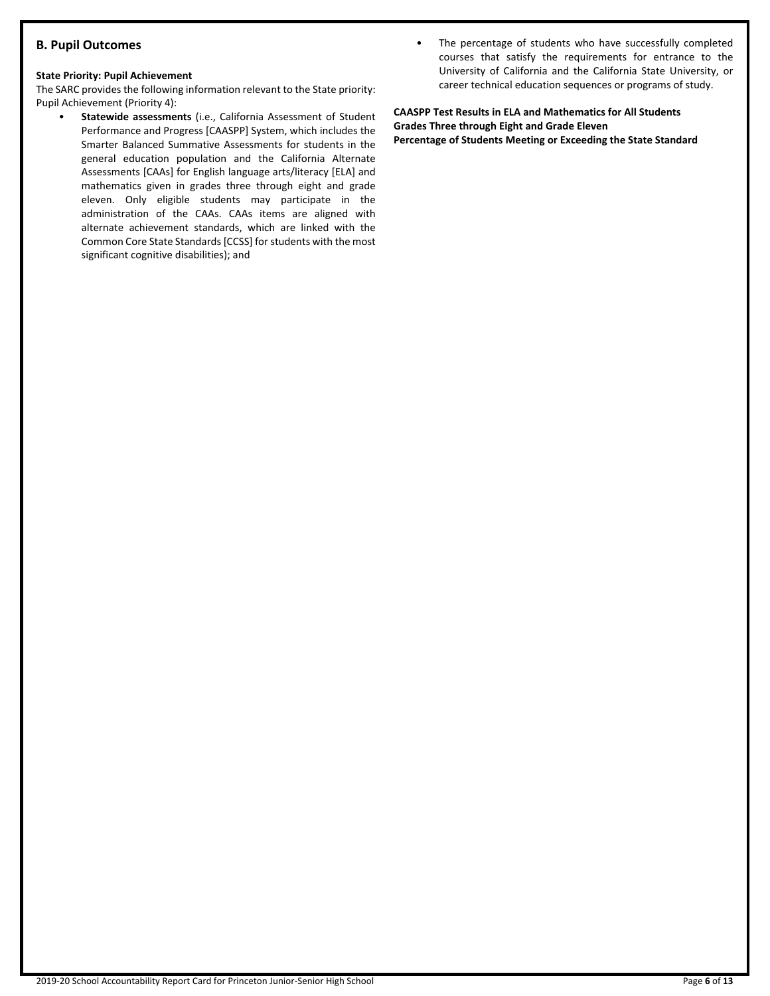# **B. Pupil Outcomes**

#### **State Priority: Pupil Achievement**

The SARC provides the following information relevant to the State priority: Pupil Achievement (Priority 4):

- **Statewide assessments** (i.e., California Assessment of Student Performance and Progress [CAASPP] System, which includes the Smarter Balanced Summative Assessments for students in the general education population and the California Alternate Assessments [CAAs] for English language arts/literacy [ELA] and mathematics given in grades three through eight and grade eleven. Only eligible students may participate in the administration of the CAAs. CAAs items are aligned with alternate achievement standards, which are linked with the Common Core State Standards [CCSS] for students with the most significant cognitive disabilities); and
- The percentage of students who have successfully completed courses that satisfy the requirements for entrance to the University of California and the California State University, or career technical education sequences or programs of study.

**CAASPP Test Results in ELA and Mathematics for All Students Grades Three through Eight and Grade Eleven Percentage of Students Meeting or Exceeding the State Standard**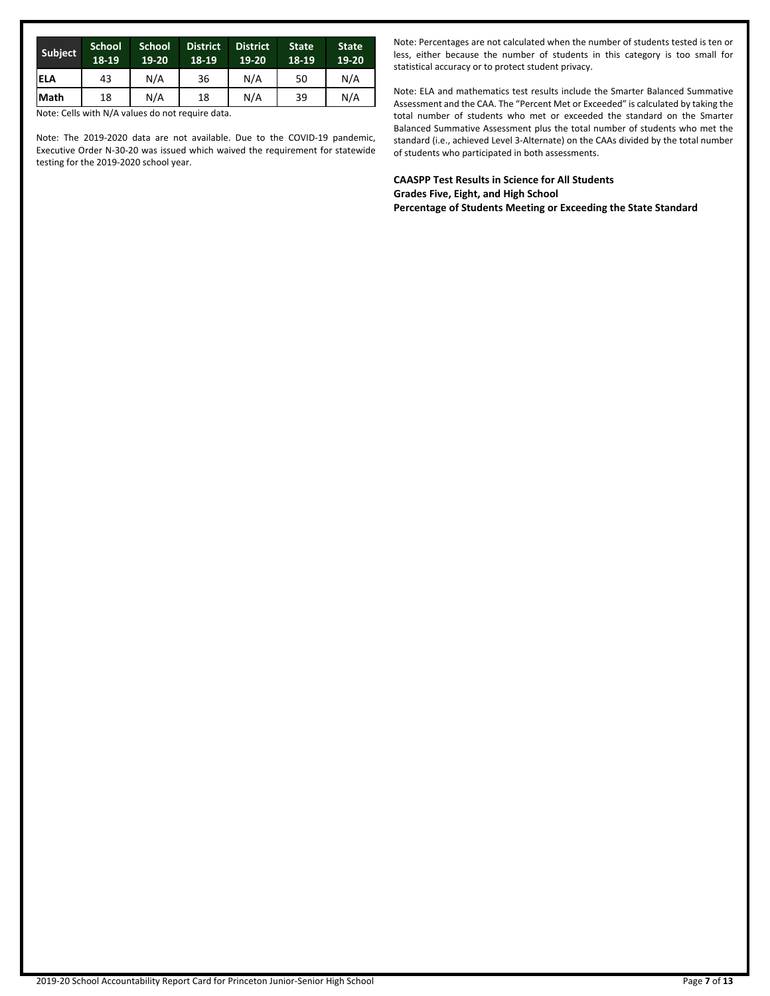| Subject     | <b>School</b><br>18-19 | <b>School</b><br>19-20 | <b>District</b><br>18-19 | <b>District</b><br>19-20 | <b>State</b><br>18-19 | <b>State</b><br>19-20 |
|-------------|------------------------|------------------------|--------------------------|--------------------------|-----------------------|-----------------------|
| ELA         | 43                     | N/A                    | 36                       | N/A                      | 50                    | N/A                   |
| <b>Math</b> | 18                     | N/A                    | 18                       | N/A                      | 39                    | N/A                   |

Note: Cells with N/A values do not require data.

Note: The 2019-2020 data are not available. Due to the COVID-19 pandemic, Executive Order N-30-20 was issued which waived the requirement for statewide testing for the 2019-2020 school year.

Note: Percentages are not calculated when the number of students tested is ten or less, either because the number of students in this category is too small for statistical accuracy or to protect student privacy.

Note: ELA and mathematics test results include the Smarter Balanced Summative Assessment and the CAA. The "Percent Met or Exceeded" is calculated by taking the total number of students who met or exceeded the standard on the Smarter Balanced Summative Assessment plus the total number of students who met the standard (i.e., achieved Level 3-Alternate) on the CAAs divided by the total number of students who participated in both assessments.

**CAASPP Test Results in Science for All Students Grades Five, Eight, and High School Percentage of Students Meeting or Exceeding the State Standard**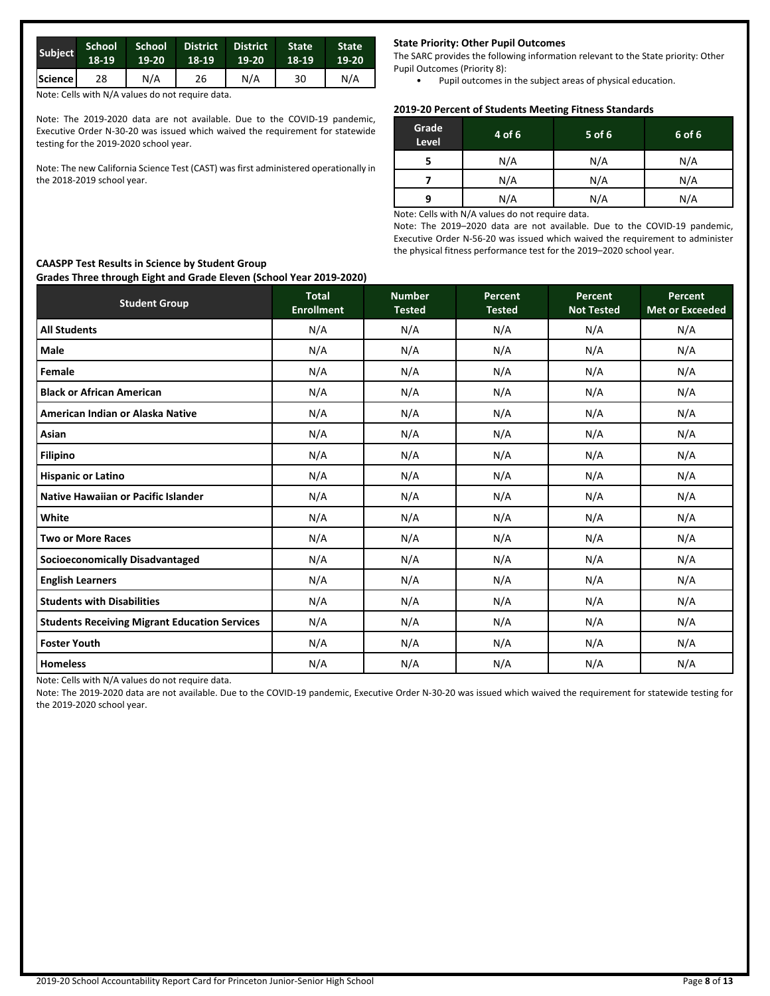| Subject | School<br>18-19 | $19-20$ | School District<br>18-19 | <b>District</b><br>$19-20$ | <b>State</b><br>18-19 | <b>State</b><br>19-20 |
|---------|-----------------|---------|--------------------------|----------------------------|-----------------------|-----------------------|
| Science | 28              | N/A     | 26                       | N/A                        | 30                    | N/A                   |

Note: Cells with N/A values do not require data.

Note: The 2019-2020 data are not available. Due to the COVID-19 pandemic, Executive Order N-30-20 was issued which waived the requirement for statewide testing for the 2019-2020 school year.

Note: The new California Science Test (CAST) was first administered operationally in the 2018-2019 school year.

#### **State Priority: Other Pupil Outcomes**

The SARC provides the following information relevant to the State priority: Other Pupil Outcomes (Priority 8):

• Pupil outcomes in the subject areas of physical education.

# **2019-20 Percent of Students Meeting Fitness Standards**

| Grade<br>Level | 4 of 6 | 5 of 6 | 6 of 6 |
|----------------|--------|--------|--------|
|                | N/A    | N/A    | N/A    |
|                | N/A    | N/A    | N/A    |
| 9              | N/A    | N/A    | N/A    |
|                |        |        |        |

Note: Cells with N/A values do not require data.

Note: The 2019–2020 data are not available. Due to the COVID-19 pandemic, Executive Order N-56-20 was issued which waived the requirement to administer the physical fitness performance test for the 2019–2020 school year.

# **Student Group Total Enrollment Number Tested Percent Tested Percent Not Tested Percent Met or Exceeded All Students** N/A N/A N/A N/A N/A **Male** N/A N/A N/A N/A N/A **Female** N/A N/A N/A N/A N/A **Black or African American** N/A N/A N/A N/A N/A **American Indian or Alaska Native** N/A N/A N/A N/A N/A **Asian** N/A N/A N/A N/A N/A **Filipino** N/A N/A N/A N/A N/A **Hispanic or Latino** N/A N/A N/A N/A N/A **Native Hawaiian or Pacific Islander** N/A N/A N/A N/A N/A **White** N/A N/A N/A N/A N/A **Two or More Races** N/A N/A N/A N/A N/A **Socioeconomically Disadvantaged** N/A N/A N/A N/A N/A **English Learners** N/A N/A N/A N/A N/A **Students with Disabilities** N/A N/A N/A N/A N/A **Students Receiving Migrant Education Services** N/A N/A N/A N/A N/A **Foster Youth** N/A N/A N/A N/A N/A **Homeless** N/A N/A N/A N/A N/A

Note: Cells with N/A values do not require data.

Note: The 2019-2020 data are not available. Due to the COVID-19 pandemic, Executive Order N-30-20 was issued which waived the requirement for statewide testing for the 2019-2020 school year.

#### **CAASPP Test Results in Science by Student Group Grades Three through Eight and Grade Eleven (School Year 2019-2020)**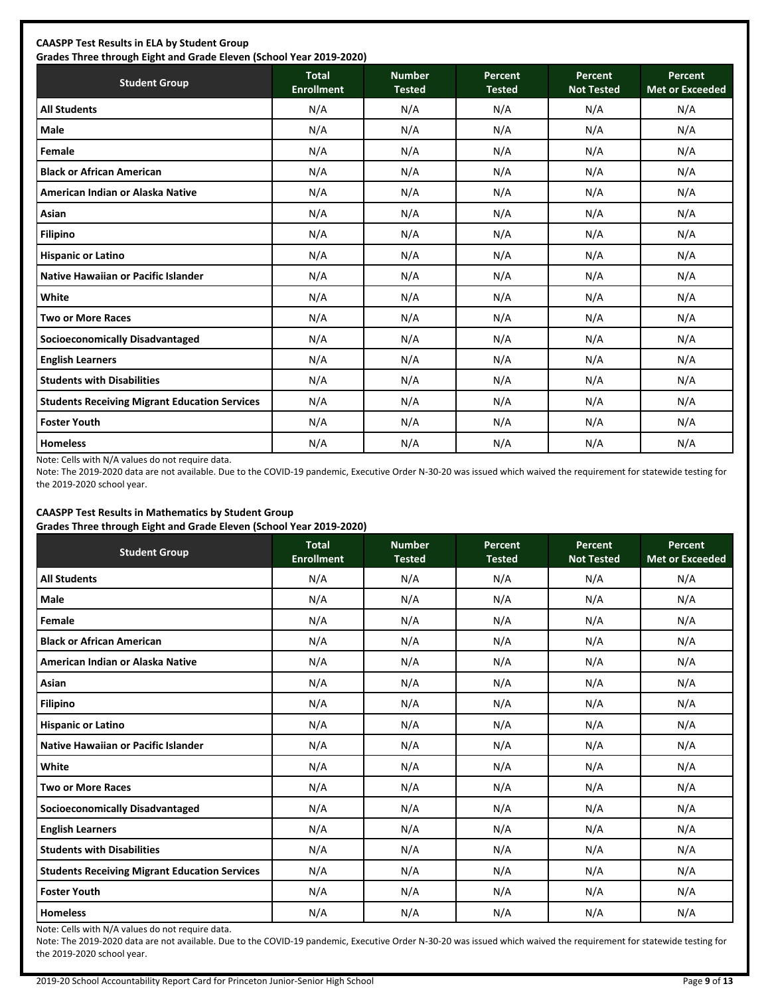| <b>CAASPP Test Results in ELA by Student Group</b><br>Grades Three through Eight and Grade Eleven (School Year 2019-2020) |       |               |         |         |         |
|---------------------------------------------------------------------------------------------------------------------------|-------|---------------|---------|---------|---------|
| <b>Student Group</b>                                                                                                      | Total | <b>Number</b> | Percent | Percent | Percent |

| <b>Student Group</b>                                 | <b>Total</b><br><b>Enrollment</b> | <b>Number</b><br><b>Tested</b> | Percent<br><b>Tested</b> | Percent<br><b>Not Tested</b> | Percent<br><b>Met or Exceeded</b> |
|------------------------------------------------------|-----------------------------------|--------------------------------|--------------------------|------------------------------|-----------------------------------|
| <b>All Students</b>                                  | N/A                               | N/A                            | N/A                      | N/A                          | N/A                               |
| Male                                                 | N/A                               | N/A                            | N/A                      | N/A                          | N/A                               |
| Female                                               | N/A                               | N/A                            | N/A                      | N/A                          | N/A                               |
| <b>Black or African American</b>                     | N/A                               | N/A                            | N/A                      | N/A                          | N/A                               |
| American Indian or Alaska Native                     | N/A                               | N/A                            | N/A                      | N/A                          | N/A                               |
| Asian                                                | N/A                               | N/A                            | N/A                      | N/A                          | N/A                               |
| <b>Filipino</b>                                      | N/A                               | N/A                            | N/A                      | N/A                          | N/A                               |
| <b>Hispanic or Latino</b>                            | N/A                               | N/A                            | N/A                      | N/A                          | N/A                               |
| <b>Native Hawaiian or Pacific Islander</b>           | N/A                               | N/A                            | N/A                      | N/A                          | N/A                               |
| White                                                | N/A                               | N/A                            | N/A                      | N/A                          | N/A                               |
| <b>Two or More Races</b>                             | N/A                               | N/A                            | N/A                      | N/A                          | N/A                               |
| <b>Socioeconomically Disadvantaged</b>               | N/A                               | N/A                            | N/A                      | N/A                          | N/A                               |
| <b>English Learners</b>                              | N/A                               | N/A                            | N/A                      | N/A                          | N/A                               |
| <b>Students with Disabilities</b>                    | N/A                               | N/A                            | N/A                      | N/A                          | N/A                               |
| <b>Students Receiving Migrant Education Services</b> | N/A                               | N/A                            | N/A                      | N/A                          | N/A                               |
| <b>Foster Youth</b>                                  | N/A                               | N/A                            | N/A                      | N/A                          | N/A                               |
| <b>Homeless</b>                                      | N/A                               | N/A                            | N/A                      | N/A                          | N/A                               |

Note: Cells with N/A values do not require data.

Note: The 2019-2020 data are not available. Due to the COVID-19 pandemic, Executive Order N-30-20 was issued which waived the requirement for statewide testing for the 2019-2020 school year.

#### **CAASPP Test Results in Mathematics by Student Group Grades Three through Eight and Grade Eleven (School Year 2019-2020)**

| <b>Student Group</b>                                 | <b>Total</b><br><b>Enrollment</b> | <b>Number</b><br><b>Tested</b> | Percent<br><b>Tested</b> | Percent<br><b>Not Tested</b> | Percent<br><b>Met or Exceeded</b> |
|------------------------------------------------------|-----------------------------------|--------------------------------|--------------------------|------------------------------|-----------------------------------|
| <b>All Students</b>                                  | N/A                               | N/A                            | N/A                      | N/A                          | N/A                               |
| Male                                                 | N/A                               | N/A                            | N/A                      | N/A                          | N/A                               |
| Female                                               | N/A                               | N/A                            | N/A                      | N/A                          | N/A                               |
| <b>Black or African American</b>                     | N/A                               | N/A                            | N/A                      | N/A                          | N/A                               |
| American Indian or Alaska Native                     | N/A                               | N/A                            | N/A                      | N/A                          | N/A                               |
| Asian                                                | N/A                               | N/A                            | N/A                      | N/A                          | N/A                               |
| <b>Filipino</b>                                      | N/A                               | N/A                            | N/A                      | N/A                          | N/A                               |
| <b>Hispanic or Latino</b>                            | N/A                               | N/A                            | N/A                      | N/A                          | N/A                               |
| Native Hawaiian or Pacific Islander                  | N/A                               | N/A                            | N/A                      | N/A                          | N/A                               |
| White                                                | N/A                               | N/A                            | N/A                      | N/A                          | N/A                               |
| <b>Two or More Races</b>                             | N/A                               | N/A                            | N/A                      | N/A                          | N/A                               |
| <b>Socioeconomically Disadvantaged</b>               | N/A                               | N/A                            | N/A                      | N/A                          | N/A                               |
| <b>English Learners</b>                              | N/A                               | N/A                            | N/A                      | N/A                          | N/A                               |
| <b>Students with Disabilities</b>                    | N/A                               | N/A                            | N/A                      | N/A                          | N/A                               |
| <b>Students Receiving Migrant Education Services</b> | N/A                               | N/A                            | N/A                      | N/A                          | N/A                               |
| <b>Foster Youth</b>                                  | N/A                               | N/A                            | N/A                      | N/A                          | N/A                               |
| <b>Homeless</b>                                      | N/A                               | N/A                            | N/A                      | N/A                          | N/A                               |

Note: Cells with N/A values do not require data.

Note: The 2019-2020 data are not available. Due to the COVID-19 pandemic, Executive Order N-30-20 was issued which waived the requirement for statewide testing for the 2019-2020 school year.

۰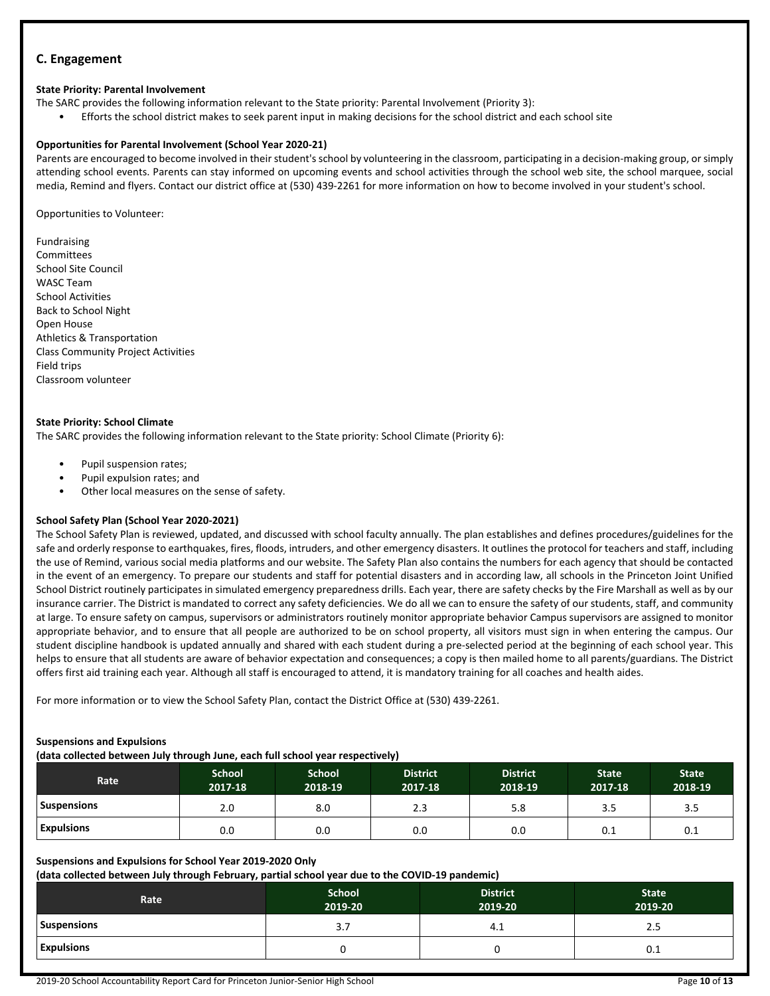# **C. Engagement**

## **State Priority: Parental Involvement**

- The SARC provides the following information relevant to the State priority: Parental Involvement (Priority 3):
- Efforts the school district makes to seek parent input in making decisions for the school district and each school site

#### **Opportunities for Parental Involvement (School Year 2020-21)**

Parents are encouraged to become involved in their student's school by volunteering in the classroom, participating in a decision-making group, or simply attending school events. Parents can stay informed on upcoming events and school activities through the school web site, the school marquee, social media, Remind and flyers. Contact our district office at (530) 439-2261 for more information on how to become involved in your student's school.

Opportunities to Volunteer:

Fundraising Committees School Site Council WASC Team School Activities Back to School Night Open House Athletics & Transportation Class Community Project Activities Field trips Classroom volunteer

# **State Priority: School Climate**

The SARC provides the following information relevant to the State priority: School Climate (Priority 6):

- Pupil suspension rates;
- Pupil expulsion rates; and
- Other local measures on the sense of safety.

# **School Safety Plan (School Year 2020-2021)**

The School Safety Plan is reviewed, updated, and discussed with school faculty annually. The plan establishes and defines procedures/guidelines for the safe and orderly response to earthquakes, fires, floods, intruders, and other emergency disasters. It outlines the protocol for teachers and staff, including the use of Remind, various social media platforms and our website. The Safety Plan also contains the numbers for each agency that should be contacted in the event of an emergency. To prepare our students and staff for potential disasters and in according law, all schools in the Princeton Joint Unified School District routinely participates in simulated emergency preparedness drills. Each year, there are safety checks by the Fire Marshall as well as by our insurance carrier. The District is mandated to correct any safety deficiencies. We do all we can to ensure the safety of our students, staff, and community at large. To ensure safety on campus, supervisors or administrators routinely monitor appropriate behavior Campus supervisors are assigned to monitor appropriate behavior, and to ensure that all people are authorized to be on school property, all visitors must sign in when entering the campus. Our student discipline handbook is updated annually and shared with each student during a pre-selected period at the beginning of each school year. This helps to ensure that all students are aware of behavior expectation and consequences; a copy is then mailed home to all parents/guardians. The District offers first aid training each year. Although all staff is encouraged to attend, it is mandatory training for all coaches and health aides.

For more information or to view the School Safety Plan, contact the District Office at (530) 439-2261.

#### **Suspensions and Expulsions**

**(data collected between July through June, each full school year respectively)**

| <b>Rate</b>       | <b>School</b><br>2017-18 | <b>School</b><br>2018-19 | <b>District</b><br>2017-18 | <b>District</b><br>2018-19 | <b>State</b><br>2017-18 | <b>State</b><br>2018-19 |
|-------------------|--------------------------|--------------------------|----------------------------|----------------------------|-------------------------|-------------------------|
| Suspensions       | 2.0                      | 8.0                      | 2.3                        | 5.8                        | 3.5                     | 3.5                     |
| <b>Expulsions</b> | 0.0                      | 0.0                      | 0.0                        | 0.0                        | 0.1                     | 0.1                     |

#### **Suspensions and Expulsions for School Year 2019-2020 Only**

**(data collected between July through February, partial school year due to the COVID-19 pandemic)**

| Rate              | School <sup>1</sup><br>2019-20 | <b>District</b><br>2019-20 | <b>State</b><br>2019-20 |
|-------------------|--------------------------------|----------------------------|-------------------------|
| Suspensions       | 3.,                            | 4.⊥                        | 2.5                     |
| <b>Expulsions</b> |                                |                            | 0.1                     |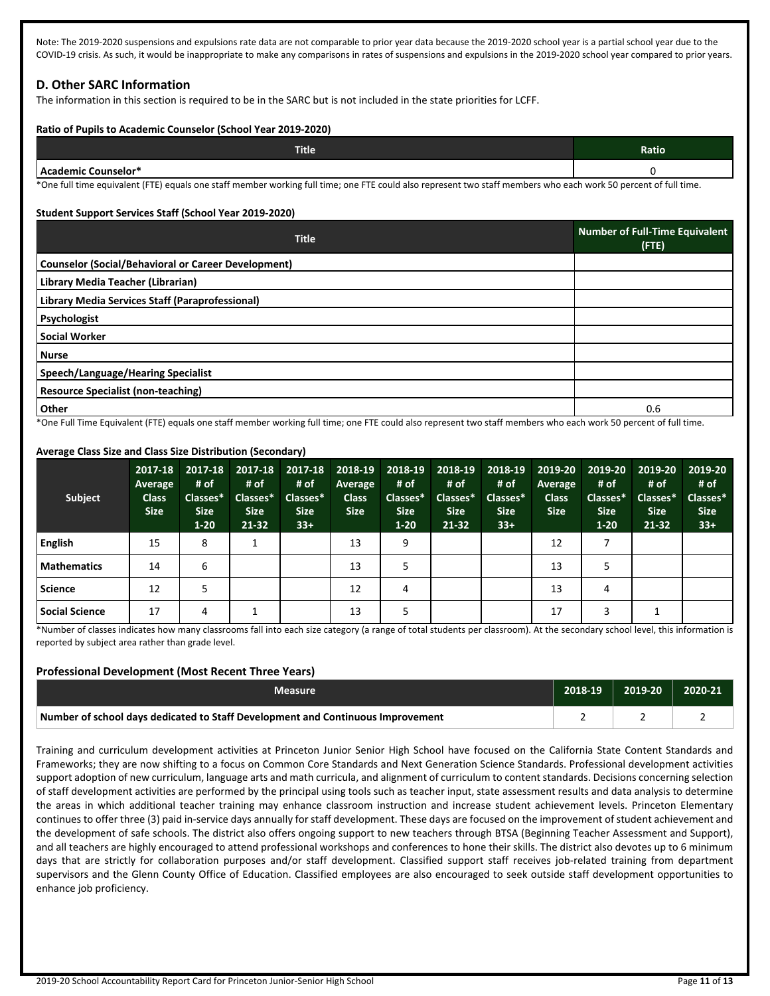Note: The 2019-2020 suspensions and expulsions rate data are not comparable to prior year data because the 2019-2020 school year is a partial school year due to the COVID-19 crisis. As such, it would be inappropriate to make any comparisons in rates of suspensions and expulsions in the 2019-2020 school year compared to prior years.

# **D. Other SARC Information**

The information in this section is required to be in the SARC but is not included in the state priorities for LCFF.

#### **Ratio of Pupils to Academic Counselor (School Year 2019-2020)**

| Title <sup>1</sup>          | Ratio |
|-----------------------------|-------|
| <b>LAcademic Counselor*</b> |       |

\*One full time equivalent (FTE) equals one staff member working full time; one FTE could also represent two staff members who each work 50 percent of full time.

#### **Student Support Services Staff (School Year 2019-2020)**

| <b>Title</b>                                                                                                                                                     | <b>Number of Full-Time Equivalent</b><br>(FTE) |
|------------------------------------------------------------------------------------------------------------------------------------------------------------------|------------------------------------------------|
| <b>Counselor (Social/Behavioral or Career Development)</b>                                                                                                       |                                                |
| Library Media Teacher (Librarian)                                                                                                                                |                                                |
| Library Media Services Staff (Paraprofessional)                                                                                                                  |                                                |
| Psychologist                                                                                                                                                     |                                                |
| <b>Social Worker</b>                                                                                                                                             |                                                |
| <b>Nurse</b>                                                                                                                                                     |                                                |
| Speech/Language/Hearing Specialist                                                                                                                               |                                                |
| <b>Resource Specialist (non-teaching)</b>                                                                                                                        |                                                |
| Other                                                                                                                                                            | 0.6                                            |
| *One Full Time Equivalent (FTE) equals ano staff member weeking full time uses FTE sould also xenxecent two staff members who sook week FO nexecent of full time |                                                |

One Full Time Equivalent (FTE) equals one staff member working full time; one FTE could also represent two staff members who each work 50 percent of full time.

#### **Subject 2017-18 Average Class Size 2017-18 2017-18 # of Classes\* Size 1-20 # of Classes\* Size 21-32 2017-18 # of Classes\* Size 33+ 2018-19 Average Class Size 2018-19 # of Classes\* Size 1-20 2018-19 # of Classes\* Size 21-32 2018-19 # of Classes\* Size 33+ 2019-20 Average Class Size 2019-20 2019-20 # of Classes\* Size 1-20 # of Classes\* Size 21-32 English** 15 8 1 13 9 12 7 **Mathematics** | 14 | 6 | | | | | 13 | 5 | | | | | 13 | 5 **Science** | 12 | 5 | | | | | 12 | 4 | | | | | 13 | 4 **Social Science | 17 | 4 | 1 | | | 13 | 5 | | | | | | | 17 | 3 | 1**

# **Average Class Size and Class Size Distribution (Secondary)**

\*Number of classes indicates how many classrooms fall into each size category (a range of total students per classroom). At the secondary school level, this information is reported by subject area rather than grade level.

# **Professional Development (Most Recent Three Years)**

| Measure                                                                         | 2018-19 | 2019-20 | 2020-21 |
|---------------------------------------------------------------------------------|---------|---------|---------|
| Number of school days dedicated to Staff Development and Continuous Improvement |         |         |         |

Training and curriculum development activities at Princeton Junior Senior High School have focused on the California State Content Standards and Frameworks; they are now shifting to a focus on Common Core Standards and Next Generation Science Standards. Professional development activities support adoption of new curriculum, language arts and math curricula, and alignment of curriculum to content standards. Decisions concerning selection of staff development activities are performed by the principal using tools such as teacher input, state assessment results and data analysis to determine the areas in which additional teacher training may enhance classroom instruction and increase student achievement levels. Princeton Elementary continues to offer three (3) paid in-service days annually for staff development. These days are focused on the improvement of student achievement and the development of safe schools. The district also offers ongoing support to new teachers through BTSA (Beginning Teacher Assessment and Support), and all teachers are highly encouraged to attend professional workshops and conferences to hone their skills. The district also devotes up to 6 minimum days that are strictly for collaboration purposes and/or staff development. Classified support staff receives job-related training from department supervisors and the Glenn County Office of Education. Classified employees are also encouraged to seek outside staff development opportunities to enhance job proficiency.

**2019-20 # of Classes\* Size 33+**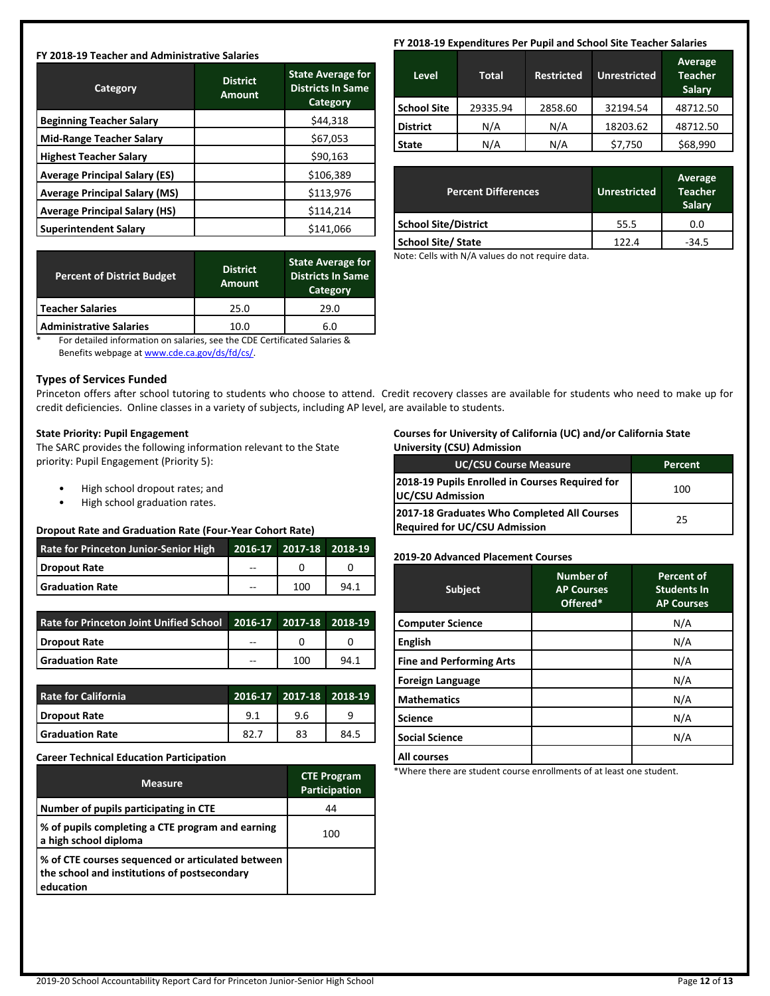#### **FY 2018-19 Teacher and Administrative Salaries**

| Category                             | <b>District</b><br><b>Amount</b> | <b>State Average for</b><br><b>Districts In Same</b><br>Category |
|--------------------------------------|----------------------------------|------------------------------------------------------------------|
| <b>Beginning Teacher Salary</b>      |                                  | \$44,318                                                         |
| <b>Mid-Range Teacher Salary</b>      |                                  | \$67,053                                                         |
| <b>Highest Teacher Salary</b>        |                                  | \$90,163                                                         |
| <b>Average Principal Salary (ES)</b> |                                  | \$106,389                                                        |
| <b>Average Principal Salary (MS)</b> |                                  | \$113,976                                                        |
| <b>Average Principal Salary (HS)</b> |                                  | \$114,214                                                        |
| <b>Superintendent Salary</b>         |                                  | \$141,066                                                        |

| <b>Percent of District Budget</b> | <b>District</b><br><b>Amount</b> | <b>State Average for</b><br><b>Districts In Same</b><br>Category |
|-----------------------------------|----------------------------------|------------------------------------------------------------------|
| <b>Teacher Salaries</b>           | 25.0                             | 29.0                                                             |
| <b>Administrative Salaries</b>    | 10.0                             | 6.0                                                              |

\* For detailed information on salaries, see the CDE Certificated Salaries & Benefits webpage at [www.cde.ca.gov/ds/fd/cs/](http://www.cde.ca.gov/ds/fd/cs/).

#### **Types of Services Funded**

Princeton offers after school tutoring to students who choose to attend. Credit recovery classes are available for students who need to make up for credit deficiencies. Online classes in a variety of subjects, including AP level, are available to students.

#### **State Priority: Pupil Engagement**

The SARC provides the following information relevant to the State priority: Pupil Engagement (Priority 5):

- High school dropout rates; and
- High school graduation rates.

#### **Dropout Rate and Graduation Rate (Four-Year Cohort Rate)**

| <b>Rate for Princeton Junior-Senior High</b> |    | 2016-17 2017-18 2018-19 |      |
|----------------------------------------------|----|-------------------------|------|
| Dropout Rate                                 | -- |                         |      |
| <b>Sanduation Rate</b>                       | -- | 100                     | 94.1 |

| Rate for Princeton Joint Unified School 2016-17 2017-18 2018-19 |    |     |  |
|-----------------------------------------------------------------|----|-----|--|
| Dropout Rate                                                    | -- |     |  |
| <b>Sanduation Rate</b>                                          | -- | 100 |  |

| Rate for California    |      | 2016-17   2017-18   2018-19 |      |
|------------------------|------|-----------------------------|------|
| Dropout Rate           | 9.1  | 9.6                         |      |
| <b>Graduation Rate</b> | 82.7 | 83                          | 84.5 |

#### **Career Technical Education Participation**

| <b>Measure</b>                                                                                                 | <b>CTE Program</b><br>Participation |
|----------------------------------------------------------------------------------------------------------------|-------------------------------------|
| Number of pupils participating in CTE                                                                          | 44                                  |
| % of pupils completing a CTE program and earning<br>a high school diploma                                      | 100                                 |
| % of CTE courses sequenced or articulated between<br>the school and institutions of postsecondary<br>education |                                     |

#### **FY 2018-19 Expenditures Per Pupil and School Site Teacher Salaries**

| Level              | <b>Total</b> | <b>Restricted</b> | <b>Unrestricted</b> | <b>Average</b><br><b>Teacher</b><br><b>Salary</b> |
|--------------------|--------------|-------------------|---------------------|---------------------------------------------------|
| <b>School Site</b> | 29335.94     | 2858.60           | 32194.54            | 48712.50                                          |
| <b>District</b>    | N/A          | N/A               | 18203.62            | 48712.50                                          |
| <b>State</b>       | N/A          | N/A               | \$7,750             | \$68,990                                          |

| <b>Percent Differences</b>  | <b>Unrestricted</b> | Average<br><b>Teacher</b><br><b>Salary</b> |
|-----------------------------|---------------------|--------------------------------------------|
| <b>School Site/District</b> | 55.5                | 0.0                                        |
| <b>School Site/ State</b>   | 122.4               | $-34.5$                                    |

Note: Cells with N/A values do not require data.

#### **Courses for University of California (UC) and/or California State University (CSU) Admission**

| UC/CSU Course Measure                                                               | Percent |
|-------------------------------------------------------------------------------------|---------|
| 2018-19 Pupils Enrolled in Courses Required for<br>UC/CSU Admission                 | 100     |
| 2017-18 Graduates Who Completed All Courses<br><b>Required for UC/CSU Admission</b> | 25      |

#### **2019-20 Advanced Placement Courses**

| <b>Subject</b>                  | <b>Number of</b><br><b>AP Courses</b><br>Offered* | <b>Percent of</b><br><b>Students In</b><br><b>AP Courses</b> |
|---------------------------------|---------------------------------------------------|--------------------------------------------------------------|
| <b>Computer Science</b>         |                                                   | N/A                                                          |
| <b>English</b>                  |                                                   | N/A                                                          |
| <b>Fine and Performing Arts</b> |                                                   | N/A                                                          |
| <b>Foreign Language</b>         |                                                   | N/A                                                          |
| <b>Mathematics</b>              |                                                   | N/A                                                          |
| <b>Science</b>                  |                                                   | N/A                                                          |
| <b>Social Science</b>           |                                                   | N/A                                                          |
| <b>All courses</b>              |                                                   |                                                              |

\*Where there are student course enrollments of at least one student.